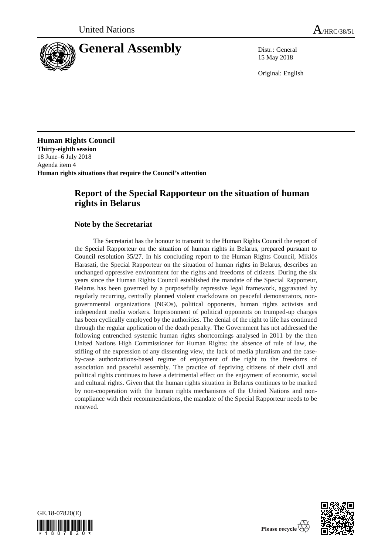

15 May 2018

Original: English

**Human Rights Council Thirty-eighth session** 18 June–6 July 2018 Agenda item 4 **Human rights situations that require the Council's attention**

# **Report of the Special Rapporteur on the situation of human rights in Belarus**

### **Note by the Secretariat**

The Secretariat has the honour to transmit to the Human Rights Council the report of the Special Rapporteur on the situation of human rights in Belarus, prepared pursuant to Council resolution 35/27. In his concluding report to the Human Rights Council, Miklós Haraszti, the Special Rapporteur on the situation of human rights in Belarus, describes an unchanged oppressive environment for the rights and freedoms of citizens. During the six years since the Human Rights Council established the mandate of the Special Rapporteur, Belarus has been governed by a purposefully repressive legal framework, aggravated by regularly recurring, centrally planned violent crackdowns on peaceful demonstrators, nongovernmental organizations (NGOs), political opponents, human rights activists and independent media workers. Imprisonment of political opponents on trumped-up charges has been cyclically employed by the authorities. The denial of the right to life has continued through the regular application of the death penalty. The Government has not addressed the following entrenched systemic human rights shortcomings analysed in 2011 by the then United Nations High Commissioner for Human Rights: the absence of rule of law, the stifling of the expression of any dissenting view, the lack of media pluralism and the caseby-case authorizations-based regime of enjoyment of the right to the freedoms of association and peaceful assembly. The practice of depriving citizens of their civil and political rights continues to have a detrimental effect on the enjoyment of economic, social and cultural rights. Given that the human rights situation in Belarus continues to be marked by non-cooperation with the human rights mechanisms of the United Nations and noncompliance with their recommendations, the mandate of the Special Rapporteur needs to be renewed.



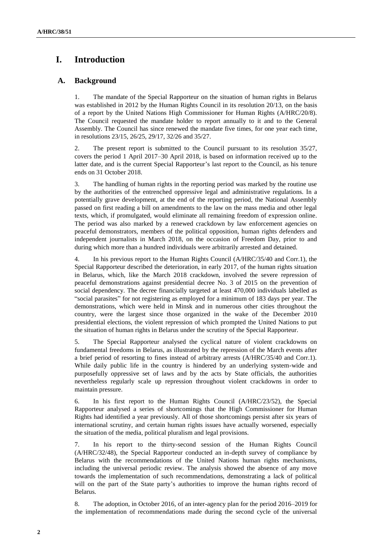# **I. Introduction**

#### **A. Background**

1. The mandate of the Special Rapporteur on the situation of human rights in Belarus was established in 2012 by the Human Rights Council in its resolution 20/13, on the basis of a report by the United Nations High Commissioner for Human Rights (A/HRC/20/8). The Council requested the mandate holder to report annually to it and to the General Assembly. The Council has since renewed the mandate five times, for one year each time, in resolutions 23/15, 26/25, 29/17, 32/26 and 35/27.

2. The present report is submitted to the Council pursuant to its resolution 35/27, covers the period 1 April 2017–30 April 2018, is based on information received up to the latter date, and is the current Special Rapporteur's last report to the Council, as his tenure ends on 31 October 2018.

3. The handling of human rights in the reporting period was marked by the routine use by the authorities of the entrenched oppressive legal and administrative regulations. In a potentially grave development, at the end of the reporting period, the National Assembly passed on first reading a bill on amendments to the law on the mass media and other legal texts, which, if promulgated, would eliminate all remaining freedom of expression online. The period was also marked by a renewed crackdown by law enforcement agencies on peaceful demonstrators, members of the political opposition, human rights defenders and independent journalists in March 2018, on the occasion of Freedom Day, prior to and during which more than a hundred individuals were arbitrarily arrested and detained.

4. In his previous report to the Human Rights Council (A/HRC/35/40 and Corr.1), the Special Rapporteur described the deterioration, in early 2017, of the human rights situation in Belarus, which, like the March 2018 crackdown, involved the severe repression of peaceful demonstrations against presidential decree No. 3 of 2015 on the prevention of social dependency. The decree financially targeted at least 470,000 individuals labelled as "social parasites" for not registering as employed for a minimum of 183 days per year. The demonstrations, which were held in Minsk and in numerous other cities throughout the country, were the largest since those organized in the wake of the December 2010 presidential elections, the violent repression of which prompted the United Nations to put the situation of human rights in Belarus under the scrutiny of the Special Rapporteur.

5. The Special Rapporteur analysed the cyclical nature of violent crackdowns on fundamental freedoms in Belarus, as illustrated by the repression of the March events after a brief period of resorting to fines instead of arbitrary arrests (A/HRC/35/40 and Corr.1). While daily public life in the country is hindered by an underlying system-wide and purposefully oppressive set of laws and by the acts by State officials, the authorities nevertheless regularly scale up repression throughout violent crackdowns in order to maintain pressure.

6. In his first report to the Human Rights Council (A/HRC/23/52), the Special Rapporteur analysed a series of shortcomings that the High Commissioner for Human Rights had identified a year previously. All of those shortcomings persist after six years of international scrutiny, and certain human rights issues have actually worsened, especially the situation of the media, political pluralism and legal provisions.

7. In his report to the thirty-second session of the Human Rights Council (A/HRC/32/48), the Special Rapporteur conducted an in-depth survey of compliance by Belarus with the recommendations of the United Nations human rights mechanisms, including the universal periodic review. The analysis showed the absence of any move towards the implementation of such recommendations, demonstrating a lack of political will on the part of the State party's authorities to improve the human rights record of Belarus.

8. The adoption, in October 2016, of an inter-agency plan for the period 2016–2019 for the implementation of recommendations made during the second cycle of the universal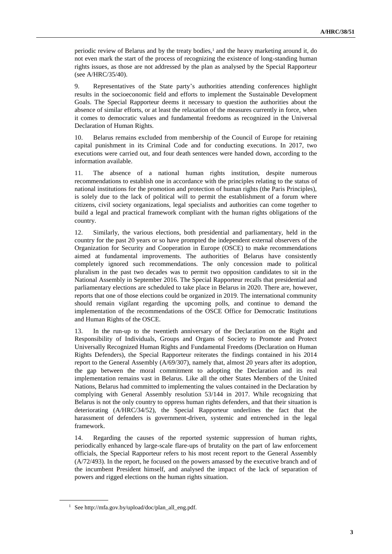periodic review of Belarus and by the treaty bodies, $<sup>1</sup>$  and the heavy marketing around it, do</sup> not even mark the start of the process of recognizing the existence of long-standing human rights issues, as those are not addressed by the plan as analysed by the Special Rapporteur (see A/HRC/35/40).

9. Representatives of the State party's authorities attending conferences highlight results in the socioeconomic field and efforts to implement the Sustainable Development Goals. The Special Rapporteur deems it necessary to question the authorities about the absence of similar efforts, or at least the relaxation of the measures currently in force, when it comes to democratic values and fundamental freedoms as recognized in the Universal Declaration of Human Rights.

10. Belarus remains excluded from membership of the Council of Europe for retaining capital punishment in its Criminal Code and for conducting executions. In 2017, two executions were carried out, and four death sentences were handed down, according to the information available.

11. The absence of a national human rights institution, despite numerous recommendations to establish one in accordance with the principles relating to the status of national institutions for the promotion and protection of human rights (the Paris Principles), is solely due to the lack of political will to permit the establishment of a forum where citizens, civil society organizations, legal specialists and authorities can come together to build a legal and practical framework compliant with the human rights obligations of the country.

12. Similarly, the various elections, both presidential and parliamentary, held in the country for the past 20 years or so have prompted the independent external observers of the Organization for Security and Cooperation in Europe (OSCE) to make recommendations aimed at fundamental improvements. The authorities of Belarus have consistently completely ignored such recommendations. The only concession made to political pluralism in the past two decades was to permit two opposition candidates to sit in the National Assembly in September 2016. The Special Rapporteur recalls that presidential and parliamentary elections are scheduled to take place in Belarus in 2020. There are, however, reports that one of those elections could be organized in 2019. The international community should remain vigilant regarding the upcoming polls, and continue to demand the implementation of the recommendations of the OSCE Office for Democratic Institutions and Human Rights of the OSCE.

13. In the run-up to the twentieth anniversary of the Declaration on the Right and Responsibility of Individuals, Groups and Organs of Society to Promote and Protect Universally Recognized Human Rights and Fundamental Freedoms (Declaration on Human Rights Defenders), the Special Rapporteur reiterates the findings contained in his 2014 report to the General Assembly (A/69/307), namely that, almost 20 years after its adoption, the gap between the moral commitment to adopting the Declaration and its real implementation remains vast in Belarus. Like all the other States Members of the United Nations, Belarus had committed to implementing the values contained in the Declaration by complying with General Assembly resolution 53/144 in 2017. While recognizing that Belarus is not the only country to oppress human rights defenders, and that their situation is deteriorating (A/HRC/34/52), the Special Rapporteur underlines the fact that the harassment of defenders is government-driven, systemic and entrenched in the legal framework.

14. Regarding the causes of the reported systemic suppression of human rights, periodically enhanced by large-scale flare-ups of brutality on the part of law enforcement officials, the Special Rapporteur refers to his most recent report to the General Assembly (A/72/493). In the report, he focused on the powers amassed by the executive branch and of the incumbent President himself, and analysed the impact of the lack of separation of powers and rigged elections on the human rights situation.

<sup>1</sup> Se[e http://mfa.gov.by/upload/doc/plan\\_all\\_eng.pdf.](http://mfa.gov.by/upload/doc/plan_all_eng.pdf)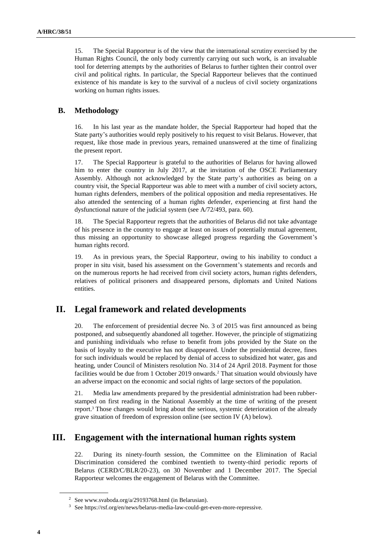15. The Special Rapporteur is of the view that the international scrutiny exercised by the Human Rights Council, the only body currently carrying out such work, is an invaluable tool for deterring attempts by the authorities of Belarus to further tighten their control over civil and political rights. In particular, the Special Rapporteur believes that the continued existence of his mandate is key to the survival of a nucleus of civil society organizations working on human rights issues.

#### **B. Methodology**

16. In his last year as the mandate holder, the Special Rapporteur had hoped that the State party's authorities would reply positively to his request to visit Belarus. However, that request, like those made in previous years, remained unanswered at the time of finalizing the present report.

17. The Special Rapporteur is grateful to the authorities of Belarus for having allowed him to enter the country in July 2017, at the invitation of the OSCE Parliamentary Assembly. Although not acknowledged by the State party's authorities as being on a country visit, the Special Rapporteur was able to meet with a number of civil society actors, human rights defenders, members of the political opposition and media representatives. He also attended the sentencing of a human rights defender, experiencing at first hand the dysfunctional nature of the judicial system (see A/72/493, para. 60).

18. The Special Rapporteur regrets that the authorities of Belarus did not take advantage of his presence in the country to engage at least on issues of potentially mutual agreement, thus missing an opportunity to showcase alleged progress regarding the Government's human rights record.

19. As in previous years, the Special Rapporteur, owing to his inability to conduct a proper in situ visit, based his assessment on the Government's statements and records and on the numerous reports he had received from civil society actors, human rights defenders, relatives of political prisoners and disappeared persons, diplomats and United Nations entities.

## **II. Legal framework and related developments**

20. The enforcement of presidential decree No. 3 of 2015 was first announced as being postponed, and subsequently abandoned all together. However, the principle of stigmatizing and punishing individuals who refuse to benefit from jobs provided by the State on the basis of loyalty to the executive has not disappeared. Under the presidential decree, fines for such individuals would be replaced by denial of access to subsidized hot water, gas and heating, under Council of Ministers resolution No. 314 of 24 April 2018. Payment for those facilities would be due from 1 October 2019 onwards.<sup>2</sup> That situation would obviously have an adverse impact on the economic and social rights of large sectors of the population.

21. Media law amendments prepared by the presidential administration had been rubberstamped on first reading in the National Assembly at the time of writing of the present report. <sup>3</sup> Those changes would bring about the serious, systemic deterioration of the already grave situation of freedom of expression online (see section IV (A) below).

## **III. Engagement with the international human rights system**

22. During its ninety-fourth session, the Committee on the Elimination of Racial Discrimination considered the combined twentieth to twenty-third periodic reports of Belarus (CERD/C/BLR/20-23), on 30 November and 1 December 2017. The Special Rapporteur welcomes the engagement of Belarus with the Committee.

<sup>2</sup> Se[e www.svaboda.org/a/29193768.html](http://www.svaboda.org/a/29193768.html) (in Belarusian).

<sup>3</sup> See https://rsf.org/en/news/belarus-media-law-could-get-even-more-repressive.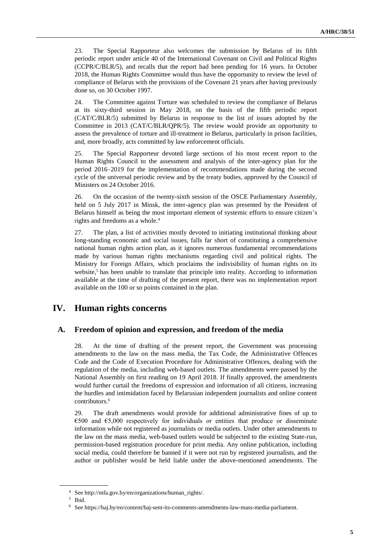23. The Special Rapporteur also welcomes the submission by Belarus of its fifth periodic report under article 40 of the International Covenant on Civil and Political Rights (CCPR/C/BLR/5), and recalls that the report had been pending for 16 years. In October 2018, the Human Rights Committee would thus have the opportunity to review the level of compliance of Belarus with the provisions of the Covenant 21 years after having previously done so, on 30 October 1997.

24. The Committee against Torture was scheduled to review the compliance of Belarus at its sixty-third session in May 2018, on the basis of the fifth periodic report (CAT/C/BLR/5) submitted by Belarus in response to the list of issues adopted by the Committee in 2013 (CAT/C/BLR/QPR/5). The review would provide an opportunity to assess the prevalence of torture and ill-treatment in Belarus, particularly in prison facilities, and, more broadly, acts committed by law enforcement officials.

25. The Special Rapporteur devoted large sections of his most recent report to the Human Rights Council to the assessment and analysis of the inter-agency plan for the period 2016–2019 for the implementation of recommendations made during the second cycle of the universal periodic review and by the treaty bodies, approved by the Council of Ministers on 24 October 2016.

26. On the occasion of the twenty-sixth session of the OSCE Parliamentary Assembly, held on 5 July 2017 in Minsk, the inter-agency plan was presented by the President of Belarus himself as being the most important element of systemic efforts to ensure citizen's rights and freedoms as a whole.<sup>4</sup>

27. The plan, a list of activities mostly devoted to initiating institutional thinking about long-standing economic and social issues, falls far short of constituting a comprehensive national human rights action plan, as it ignores numerous fundamental recommendations made by various human rights mechanisms regarding civil and political rights. The Ministry for Foreign Affairs, which proclaims the indivisibility of human rights on its website,<sup>5</sup> has been unable to translate that principle into reality. According to information available at the time of drafting of the present report, there was no implementation report available on the 100 or so points contained in the plan.

## **IV. Human rights concerns**

#### **A. Freedom of opinion and expression, and freedom of the media**

28. At the time of drafting of the present report, the Government was processing amendments to the law on the mass media, the Tax Code, the Administrative Offences Code and the Code of Execution Procedure for Administrative Offences, dealing with the regulation of the media, including web-based outlets. The amendments were passed by the National Assembly on first reading on 19 April 2018. If finally approved, the amendments would further curtail the freedoms of expression and information of all citizens, increasing the hurdles and intimidation faced by Belarusian independent journalists and online content contributors.<sup>6</sup>

29. The draft amendments would provide for additional administrative fines of up to €500 and €5,000 respectively for individuals or entities that produce or disseminate information while not registered as journalists or media outlets. Under other amendments to the law on the mass media, web-based outlets would be subjected to the existing State-run, permission-based registration procedure for print media. Any online publication, including social media, could therefore be banned if it were not run by registered journalists, and the author or publisher would be held liable under the above-mentioned amendments. The

<sup>4</sup> See http://mfa.gov.by/en/organizations/human\_rights/.

<sup>5</sup> Ibid.

<sup>6</sup> See https://baj.by/en/content/baj-sent-its-comments-amendments-law-mass-media-parliament.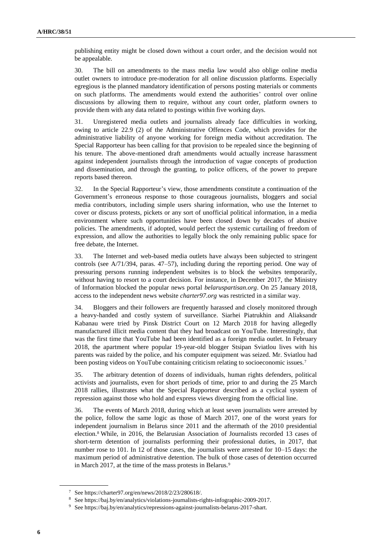publishing entity might be closed down without a court order, and the decision would not be appealable.

30. The bill on amendments to the mass media law would also oblige online media outlet owners to introduce pre-moderation for all online discussion platforms. Especially egregious is the planned mandatory identification of persons posting materials or comments on such platforms. The amendments would extend the authorities' control over online discussions by allowing them to require, without any court order, platform owners to provide them with any data related to postings within five working days.

31. Unregistered media outlets and journalists already face difficulties in working, owing to article 22.9 (2) of the Administrative Offences Code, which provides for the administrative liability of anyone working for foreign media without accreditation. The Special Rapporteur has been calling for that provision to be repealed since the beginning of his tenure. The above-mentioned draft amendments would actually increase harassment against independent journalists through the introduction of vague concepts of production and dissemination, and through the granting, to police officers, of the power to prepare reports based thereon.

32. In the Special Rapporteur's view, those amendments constitute a continuation of the Government's erroneous response to those courageous journalists, bloggers and social media contributors, including simple users sharing information, who use the Internet to cover or discuss protests, pickets or any sort of unofficial political information, in a media environment where such opportunities have been closed down by decades of abusive policies. The amendments, if adopted, would perfect the systemic curtailing of freedom of expression, and allow the authorities to legally block the only remaining public space for free debate, the Internet.

33. The Internet and web-based media outlets have always been subjected to stringent controls (see A/71/394, paras. 47–57), including during the reporting period. One way of pressuring persons running independent websites is to block the websites temporarily, without having to resort to a court decision. For instance, in December 2017, the Ministry of Information blocked the popular news portal *belaruspartisan.org*. On 25 January 2018, access to the independent news website *charter97.org* was restricted in a similar way.

34. Bloggers and their followers are frequently harassed and closely monitored through a heavy-handed and costly system of surveillance. Siarhei Piatrukhin and Aliaksandr Kabanau were tried by Pinsk District Court on 12 March 2018 for having allegedly manufactured illicit media content that they had broadcast on YouTube. Interestingly, that was the first time that YouTube had been identified as a foreign media outlet. In February 2018, the apartment where popular 19-year-old blogger Stsipan Sviatlou lives with his parents was raided by the police, and his computer equipment was seized. Mr. Sviatlou had been posting videos on YouTube containing criticism relating to socioeconomic issues.<sup>7</sup>

35. The arbitrary detention of dozens of individuals, human rights defenders, political activists and journalists, even for short periods of time, prior to and during the 25 March 2018 rallies, illustrates what the Special Rapporteur described as a cyclical system of repression against those who hold and express views diverging from the official line.

36. The events of March 2018, during which at least seven journalists were arrested by the police, follow the same logic as those of March 2017, one of the worst years for independent journalism in Belarus since 2011 and the aftermath of the 2010 presidential election.<sup>8</sup> While, in 2016, the Belarusian Association of Journalists recorded 13 cases of short-term detention of journalists performing their professional duties, in 2017, that number rose to 101. In 12 of those cases, the journalists were arrested for 10–15 days: the maximum period of administrative detention. The bulk of those cases of detention occurred in March 2017, at the time of the mass protests in Belarus.<sup>9</sup>

<sup>7</sup> See https://charter97.org/en/news/2018/2/23/280618/.

<sup>8</sup> Se[e https://baj.by/en/analytics/violations-journalists-rights-infographic-2009-2017.](https://baj.by/en/analytics/violations-journalists-rights-infographic-2009-2017)

<sup>9</sup> Se[e https://baj.by/en/analytics/repressions-against-journalists-belarus-2017-shart.](https://baj.by/en/analytics/repressions-against-journalists-belarus-2017-shart)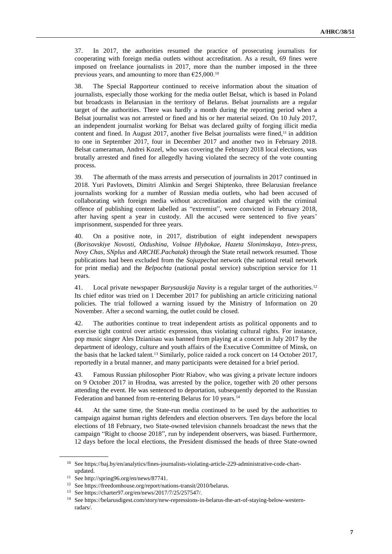37. In 2017, the authorities resumed the practice of prosecuting journalists for cooperating with foreign media outlets without accreditation. As a result, 69 fines were imposed on freelance journalists in 2017, more than the number imposed in the three previous years, and amounting to more than  $\epsilon$ 25,000.<sup>10</sup>

38. The Special Rapporteur continued to receive information about the situation of journalists, especially those working for the media outlet Belsat, which is based in Poland but broadcasts in Belarusian in the territory of Belarus. Belsat journalists are a regular target of the authorities. There was hardly a month during the reporting period when a Belsat journalist was not arrested or fined and his or her material seized. On 10 July 2017, an independent journalist working for Belsat was declared guilty of forging illicit media content and fined. In August 2017, another five Belsat journalists were fined,<sup>11</sup> in addition to one in September 2017, four in December 2017 and another two in February 2018. Belsat cameraman, Andrei Kozel, who was covering the February 2018 local elections, was brutally arrested and fined for allegedly having violated the secrecy of the vote counting process.

39. The aftermath of the mass arrests and persecution of journalists in 2017 continued in 2018. Yuri Pavlovets, Dimitri Alimkin and Sergei Shiptenko, three Belarusian freelance journalists working for a number of Russian media outlets, who had been accused of collaborating with foreign media without accreditation and charged with the criminal offence of publishing content labelled as "extremist", were convicted in February 2018, after having spent a year in custody. All the accused were sentenced to five years' imprisonment, suspended for three years.

40. On a positive note, in 2017, distribution of eight independent newspapers (*Borisovskiye Novosti, Otdushina, Volnae Hlybokae, Hazeta Slonimskaya, Intex-press, Novy Chas, SNplus* and *ARCHE.Pachatak*) through the State retail network resumed. Those publications had been excluded from the *Sojuzpechat* network (the national retail network for print media) and the *Belpochta* (national postal service) subscription service for 11 years.

41. Local private newspaper *Barysauskija Naviny* is a regular target of the authorities.<sup>12</sup> Its chief editor was tried on 1 December 2017 for publishing an article criticizing national policies. The trial followed a warning issued by the Ministry of Information on 20 November. After a second warning, the outlet could be closed.

42. The authorities continue to treat independent artists as political opponents and to exercise tight control over artistic expression, thus violating cultural rights. For instance, pop music singer Ales Dzianisau was banned from playing at a concert in July 2017 by the department of ideology, culture and youth affairs of the Executive Committee of Minsk, on the basis that he lacked talent.<sup>13</sup> Similarly, police raided a rock concert on 14 October 2017, reportedly in a brutal manner, and many participants were detained for a brief period.

43. Famous Russian philosopher Piotr Riabov, who was giving a private lecture indoors on 9 October 2017 in Hrodna, was arrested by the police, together with 20 other persons attending the event. He was sentenced to deportation, subsequently deported to the Russian Federation and banned from re-entering Belarus for 10 years.<sup>14</sup>

44. At the same time, the State-run media continued to be used by the authorities to campaign against human rights defenders and election observers. Ten days before the local elections of 18 February, two State-owned television channels broadcast the news that the campaign "Right to choose 2018", run by independent observers, was biased. Furthermore, 12 days before the local elections, the President dismissed the heads of three State-owned

<sup>10</sup> Se[e https://baj.by/en/analytics/fines-journalists-violating-article-229-administrative-code-chart](https://baj.by/en/analytics/fines-journalists-violating-article-229-administrative-code-chart-updated)[updated.](https://baj.by/en/analytics/fines-journalists-violating-article-229-administrative-code-chart-updated)

<sup>11</sup> See http://spring96.org/en/news/87741.

<sup>12</sup> Se[e https://freedomhouse.org/report/nations-transit/2010/belarus.](https://freedomhouse.org/report/nations-transit/2010/belarus)

<sup>13</sup> See https://charter97.org/en/news/2017/7/25/257547/.

<sup>14</sup> Se[e https://belarusdigest.com/story/new-repressions-in-belarus-the-art-of-staying-below-western](https://belarusdigest.com/story/new-repressions-in-belarus-the-art-of-staying-below-western-radars/)[radars/.](https://belarusdigest.com/story/new-repressions-in-belarus-the-art-of-staying-below-western-radars/)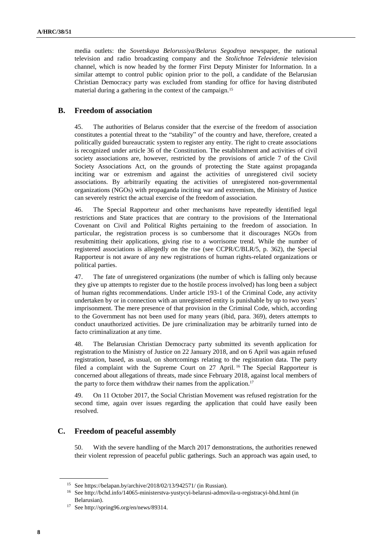media outlets: the *Sovetskaya Belorussiya/Belarus Segodnya* newspaper, the national television and radio broadcasting company and the *Stolichnoe Televidenie* television channel, which is now headed by the former First Deputy Minister for Information. In a similar attempt to control public opinion prior to the poll, a candidate of the Belarusian Christian Democracy party was excluded from standing for office for having distributed material during a gathering in the context of the campaign.<sup>15</sup>

#### **B. Freedom of association**

45. The authorities of Belarus consider that the exercise of the freedom of association constitutes a potential threat to the "stability" of the country and have, therefore, created a politically guided bureaucratic system to register any entity. The right to create associations is recognized under article 36 of the Constitution. The establishment and activities of civil society associations are, however, restricted by the provisions of article 7 of the Civil Society Associations Act, on the grounds of protecting the State against propaganda inciting war or extremism and against the activities of unregistered civil society associations. By arbitrarily equating the activities of unregistered non-governmental organizations (NGOs) with propaganda inciting war and extremism, the Ministry of Justice can severely restrict the actual exercise of the freedom of association.

46. The Special Rapporteur and other mechanisms have repeatedly identified legal restrictions and State practices that are contrary to the provisions of the International Covenant on Civil and Political Rights pertaining to the freedom of association. In particular, the registration process is so cumbersome that it discourages NGOs from resubmitting their applications, giving rise to a worrisome trend. While the number of registered associations is allegedly on the rise (see CCPR/C/BLR/5, p. 362), the Special Rapporteur is not aware of any new registrations of human rights-related organizations or political parties.

47. The fate of unregistered organizations (the number of which is falling only because they give up attempts to register due to the hostile process involved) has long been a subject of human rights recommendations. Under article 193-1 of the Criminal Code, any activity undertaken by or in connection with an unregistered entity is punishable by up to two years' imprisonment. The mere presence of that provision in the Criminal Code, which, according to the Government has not been used for many years (ibid, para. 369), deters attempts to conduct unauthorized activities. De jure criminalization may be arbitrarily turned into de facto criminalization at any time.

48. The Belarusian Christian Democracy party submitted its seventh application for registration to the Ministry of Justice on 22 January 2018, and on 6 April was again refused registration, based, as usual, on shortcomings relating to the registration data. The party filed a complaint with the Supreme Court on 27 April.<sup>16</sup> The Special Rapporteur is concerned about allegations of threats, made since February 2018, against local members of the party to force them withdraw their names from the application.<sup>17</sup>

49. On 11 October 2017, the Social Christian Movement was refused registration for the second time, again over issues regarding the application that could have easily been resolved.

#### **C. Freedom of peaceful assembly**

50. With the severe handling of the March 2017 demonstrations, the authorities renewed their violent repression of peaceful public gatherings. Such an approach was again used, to

<sup>15</sup> Se[e https://belapan.by/archive/2018/02/13/942571/](https://belapan.by/archive/2018/02/13/942571/) (in Russian).

<sup>16</sup> Se[e http://bchd.info/14065-ministerstva-yustycyi-belarusi-admovila-u-registracyi-bhd.html](http://bchd.info/14065-ministerstva-yustycyi-belarusi-admovila-u-registracyi-bhd.html) (in Belarusian).

<sup>17</sup> See http://spring96.org/en/news/89314.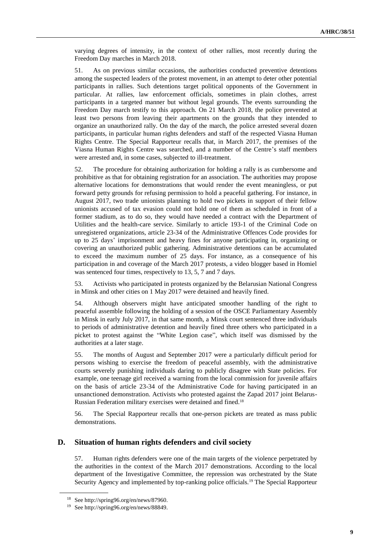varying degrees of intensity, in the context of other rallies, most recently during the Freedom Day marches in March 2018.

51. As on previous similar occasions, the authorities conducted preventive detentions among the suspected leaders of the protest movement, in an attempt to deter other potential participants in rallies. Such detentions target political opponents of the Government in particular. At rallies, law enforcement officials, sometimes in plain clothes, arrest participants in a targeted manner but without legal grounds. The events surrounding the Freedom Day march testify to this approach. On 21 March 2018, the police prevented at least two persons from leaving their apartments on the grounds that they intended to organize an unauthorized rally. On the day of the march, the police arrested several dozen participants, in particular human rights defenders and staff of the respected Viasna Human Rights Centre. The Special Rapporteur recalls that, in March 2017, the premises of the Viasna Human Rights Centre was searched, and a number of the Centre's staff members were arrested and, in some cases, subjected to ill-treatment.

52. The procedure for obtaining authorization for holding a rally is as cumbersome and prohibitive as that for obtaining registration for an association. The authorities may propose alternative locations for demonstrations that would render the event meaningless, or put forward petty grounds for refusing permission to hold a peaceful gathering. For instance, in August 2017, two trade unionists planning to hold two pickets in support of their fellow unionists accused of tax evasion could not hold one of them as scheduled in front of a former stadium, as to do so, they would have needed a contract with the Department of Utilities and the health-care service. Similarly to article 193-1 of the Criminal Code on unregistered organizations, article 23-34 of the Administrative Offences Code provides for up to 25 days' imprisonment and heavy fines for anyone participating in, organizing or covering an unauthorized public gathering. Administrative detentions can be accumulated to exceed the maximum number of 25 days. For instance, as a consequence of his participation in and coverage of the March 2017 protests, a video blogger based in Homiel was sentenced four times, respectively to 13, 5, 7 and 7 days.

53. Activists who participated in protests organized by the Belarusian National Congress in Minsk and other cities on 1 May 2017 were detained and heavily fined.

54. Although observers might have anticipated smoother handling of the right to peaceful assemble following the holding of a session of the OSCE Parliamentary Assembly in Minsk in early July 2017, in that same month, a Minsk court sentenced three individuals to periods of administrative detention and heavily fined three others who participated in a picket to protest against the "White Legion case", which itself was dismissed by the authorities at a later stage.

55. The months of August and September 2017 were a particularly difficult period for persons wishing to exercise the freedom of peaceful assembly, with the administrative courts severely punishing individuals daring to publicly disagree with State policies. For example, one teenage girl received a warning from the local commission for juvenile affairs on the basis of article 23-34 of the Administrative Code for having participated in an unsanctioned demonstration. Activists who protested against the Zapad 2017 joint Belarus-Russian Federation military exercises were detained and fined.<sup>18</sup>

56. The Special Rapporteur recalls that one-person pickets are treated as mass public demonstrations.

#### **D. Situation of human rights defenders and civil society**

57. Human rights defenders were one of the main targets of the violence perpetrated by the authorities in the context of the March 2017 demonstrations. According to the local department of the Investigative Committee, the repression was orchestrated by the State Security Agency and implemented by top-ranking police officials.<sup>19</sup> The Special Rapporteur

<sup>18</sup> See http://spring96.org/en/news/87960.

<sup>19</sup> See http://spring96.org/en/news/88849.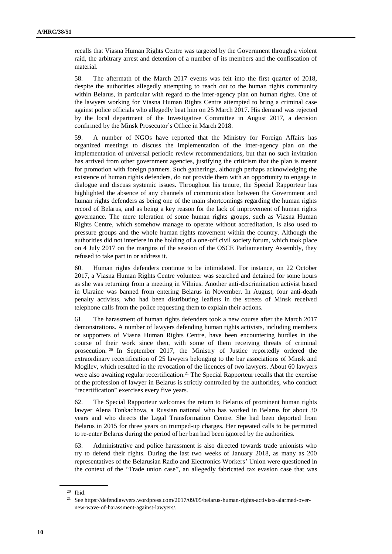recalls that Viasna Human Rights Centre was targeted by the Government through a violent raid, the arbitrary arrest and detention of a number of its members and the confiscation of material.

58. The aftermath of the March 2017 events was felt into the first quarter of 2018, despite the authorities allegedly attempting to reach out to the human rights community within Belarus, in particular with regard to the inter-agency plan on human rights. One of the lawyers working for Viasna Human Rights Centre attempted to bring a criminal case against police officials who allegedly beat him on 25 March 2017. His demand was rejected by the local department of the Investigative Committee in August 2017, a decision confirmed by the Minsk Prosecutor's Office in March 2018.

59. A number of NGOs have reported that the Ministry for Foreign Affairs has organized meetings to discuss the implementation of the inter-agency plan on the implementation of universal periodic review recommendations, but that no such invitation has arrived from other government agencies, justifying the criticism that the plan is meant for promotion with foreign partners. Such gatherings, although perhaps acknowledging the existence of human rights defenders, do not provide them with an opportunity to engage in dialogue and discuss systemic issues. Throughout his tenure, the Special Rapporteur has highlighted the absence of any channels of communication between the Government and human rights defenders as being one of the main shortcomings regarding the human rights record of Belarus, and as being a key reason for the lack of improvement of human rights governance. The mere toleration of some human rights groups, such as Viasna Human Rights Centre, which somehow manage to operate without accreditation, is also used to pressure groups and the whole human rights movement within the country. Although the authorities did not interfere in the holding of a one-off civil society forum, which took place on 4 July 2017 on the margins of the session of the OSCE Parliamentary Assembly, they refused to take part in or address it.

60. Human rights defenders continue to be intimidated. For instance, on 22 October 2017, a Viasna Human Rights Centre volunteer was searched and detained for some hours as she was returning from a meeting in Vilnius. Another anti-discrimination activist based in Ukraine was banned from entering Belarus in November. In August, four anti-death penalty activists, who had been distributing leaflets in the streets of Minsk received telephone calls from the police requesting them to explain their actions.

61. The harassment of human rights defenders took a new course after the March 2017 demonstrations. A number of lawyers defending human rights activists, including members or supporters of Viasna Human Rights Centre, have been encountering hurdles in the course of their work since then, with some of them receiving threats of criminal prosecution. <sup>20</sup> In September 2017, the Ministry of Justice reportedly ordered the extraordinary recertification of 25 lawyers belonging to the bar associations of Minsk and Mogilev, which resulted in the revocation of the licences of two lawyers. About 60 lawyers were also awaiting regular recertification.<sup>21</sup> The Special Rapporteur recalls that the exercise of the profession of lawyer in Belarus is strictly controlled by the authorities, who conduct "recertification" exercises every five years.

62. The Special Rapporteur welcomes the return to Belarus of prominent human rights lawyer Alena Tonkachova, a Russian national who has worked in Belarus for about 30 years and who directs the Legal Transformation Centre. She had been deported from Belarus in 2015 for three years on trumped-up charges. Her repeated calls to be permitted to re-enter Belarus during the period of her ban had been ignored by the authorities.

63. Administrative and police harassment is also directed towards trade unionists who try to defend their rights. During the last two weeks of January 2018, as many as 200 representatives of the Belarusian Radio and Electronics Workers' Union were questioned in the context of the "Trade union case", an allegedly fabricated tax evasion case that was

<sup>20</sup> Ibid.

<sup>21</sup> Se[e https://defendlawyers.wordpress.com/2017/09/05/belarus-human-rights-activists-alarmed-over](https://defendlawyers.wordpress.com/2017/09/05/belarus-human-rights-activists-alarmed-over-new-wave-of-harassment-against-lawyers/)[new-wave-of-harassment-against-lawyers/.](https://defendlawyers.wordpress.com/2017/09/05/belarus-human-rights-activists-alarmed-over-new-wave-of-harassment-against-lawyers/)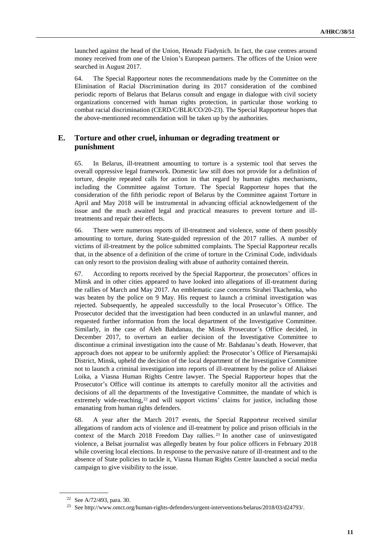launched against the head of the Union, Henadz Fiadynich. In fact, the case centres around money received from one of the Union's European partners. The offices of the Union were searched in August 2017.

64. The Special Rapporteur notes the recommendations made by the Committee on the Elimination of Racial Discrimination during its 2017 consideration of the combined periodic reports of Belarus that Belarus consult and engage in dialogue with civil society organizations concerned with human rights protection, in particular those working to combat racial discrimination (CERD/C/BLR/CO/20-23). The Special Rapporteur hopes that the above-mentioned recommendation will be taken up by the authorities.

### **E. Torture and other cruel, inhuman or degrading treatment or punishment**

65. In Belarus, ill-treatment amounting to torture is a systemic tool that serves the overall oppressive legal framework. Domestic law still does not provide for a definition of torture, despite repeated calls for action in that regard by human rights mechanisms, including the Committee against Torture. The Special Rapporteur hopes that the consideration of the fifth periodic report of Belarus by the Committee against Torture in April and May 2018 will be instrumental in advancing official acknowledgement of the issue and the much awaited legal and practical measures to prevent torture and illtreatments and repair their effects.

66. There were numerous reports of ill-treatment and violence, some of them possibly amounting to torture, during State-guided repression of the 2017 rallies. A number of victims of ill-treatment by the police submitted complaints. The Special Rapporteur recalls that, in the absence of a definition of the crime of torture in the Criminal Code, individuals can only resort to the provision dealing with abuse of authority contained therein.

67. According to reports received by the Special Rapporteur, the prosecutors' offices in Minsk and in other cities appeared to have looked into allegations of ill-treatment during the rallies of March and May 2017. An emblematic case concerns Sirahei Tkachenka, who was beaten by the police on 9 May. His request to launch a criminal investigation was rejected. Subsequently, he appealed successfully to the local Prosecutor's Office. The Prosecutor decided that the investigation had been conducted in an unlawful manner, and requested further information from the local department of the Investigative Committee. Similarly, in the case of Aleh Bahdanau, the Minsk Prosecutor's Office decided, in December 2017, to overturn an earlier decision of the Investigative Committee to discontinue a criminal investigation into the cause of Mr. Bahdanau's death. However, that approach does not appear to be uniformly applied: the Prosecutor's Office of Piersamajski District, Minsk, upheld the decision of the local department of the Investigative Committee not to launch a criminal investigation into reports of ill-treatment by the police of Aliaksei Loika, a Viasna Human Rights Centre lawyer. The Special Rapporteur hopes that the Prosecutor's Office will continue its attempts to carefully monitor all the activities and decisions of all the departments of the Investigative Committee, the mandate of which is extremely wide-reaching,<sup>22</sup> and will support victims' claims for justice, including those emanating from human rights defenders.

68. A year after the March 2017 events, the Special Rapporteur received similar allegations of random acts of violence and ill-treatment by police and prison officials in the context of the March 2018 Freedom Day rallies. <sup>23</sup> In another case of uninvestigated violence, a Belsat journalist was allegedly beaten by four police officers in February 2018 while covering local elections. In response to the pervasive nature of ill-treatment and to the absence of State policies to tackle it, Viasna Human Rights Centre launched a social media campaign to give visibility to the issue.

<sup>22</sup> See A/72/493, para. 30.

<sup>23</sup> Se[e http://www.omct.org/human-rights-defenders/urgent-interventions/belarus/2018/03/d24793/.](http://www.omct.org/human-rights-defenders/urgent-interventions/belarus/2018/03/d24793/)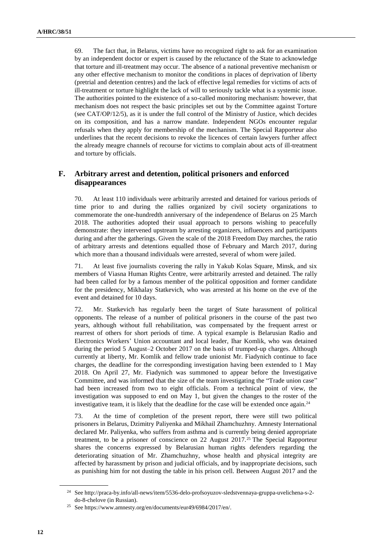69. The fact that, in Belarus, victims have no recognized right to ask for an examination by an independent doctor or expert is caused by the reluctance of the State to acknowledge that torture and ill-treatment may occur. The absence of a national preventive mechanism or any other effective mechanism to monitor the conditions in places of deprivation of liberty (pretrial and detention centres) and the lack of effective legal remedies for victims of acts of ill-treatment or torture highlight the lack of will to seriously tackle what is a systemic issue. The authorities pointed to the existence of a so-called monitoring mechanism: however, that mechanism does not respect the basic principles set out by the Committee against Torture (see CAT/OP/12/5), as it is under the full control of the Ministry of Justice, which decides on its composition, and has a narrow mandate. Independent NGOs encounter regular refusals when they apply for membership of the mechanism. The Special Rapporteur also underlines that the recent decisions to revoke the licences of certain lawyers further affect the already meagre channels of recourse for victims to complain about acts of ill-treatment and torture by officials.

### **F. Arbitrary arrest and detention, political prisoners and enforced disappearances**

70. At least 110 individuals were arbitrarily arrested and detained for various periods of time prior to and during the rallies organized by civil society organizations to commemorate the one-hundredth anniversary of the independence of Belarus on 25 March 2018. The authorities adopted their usual approach to persons wishing to peacefully demonstrate: they intervened upstream by arresting organizers, influencers and participants during and after the gatherings. Given the scale of the 2018 Freedom Day marches, the ratio of arbitrary arrests and detentions equalled those of February and March 2017, during which more than a thousand individuals were arrested, several of whom were jailed.

71. At least five journalists covering the rally in Yakub Kolas Square, Minsk, and six members of Viasna Human Rights Centre, were arbitrarily arrested and detained. The rally had been called for by a famous member of the political opposition and former candidate for the presidency, Mikhalay Statkevich, who was arrested at his home on the eve of the event and detained for 10 days.

72. Mr. Statkevich has regularly been the target of State harassment of political opponents. The release of a number of political prisoners in the course of the past two years, although without full rehabilitation, was compensated by the frequent arrest or rearrest of others for short periods of time. A typical example is Belarusian Radio and Electronics Workers' Union accountant and local leader, Ihar Komlik, who was detained during the period 5 August–2 October 2017 on the basis of trumped-up charges. Although currently at liberty, Mr. Komlik and fellow trade unionist Mr. Fiadynich continue to face charges, the deadline for the corresponding investigation having been extended to 1 May 2018. On April 27, Mr. Fiadynich was summoned to appear before the Investigative Committee, and was informed that the size of the team investigating the "Trade union case" had been increased from two to eight officials. From a technical point of view, the investigation was supposed to end on May 1, but given the changes to the roster of the investigative team, it is likely that the deadline for the case will be extended once again.<sup>24</sup>

73. At the time of completion of the present report, there were still two political prisoners in Belarus, Dzimitry Paliyenka and Mikhail Zhamchuzhny. Amnesty International declared Mr. Paliyenka, who suffers from asthma and is currently being denied appropriate treatment, to be a prisoner of conscience on 22 August 2017.<sup>25</sup> The Special Rapporteur shares the concerns expressed by Belarusian human rights defenders regarding the deteriorating situation of Mr. Zhamchuzhny, whose health and physical integrity are affected by harassment by prison and judicial officials, and by inappropriate decisions, such as punishing him for not dusting the table in his prison cell. Between August 2017 and the

<sup>24</sup> Se[e http://praca-by.info/all-news/item/5536-delo-profsoyuzov-sledstvennaya-gruppa-uvelichena-s-2](http://praca-by.info/all-news/item/5536-delo-profsoyuzov-sledstvennaya-gruppa-uvelichena-s-2-do-8-chelove) [do-8-chelove](http://praca-by.info/all-news/item/5536-delo-profsoyuzov-sledstvennaya-gruppa-uvelichena-s-2-do-8-chelove) (in Russian).

<sup>25</sup> See https://www.amnesty.org/en/documents/eur49/6984/2017/en/.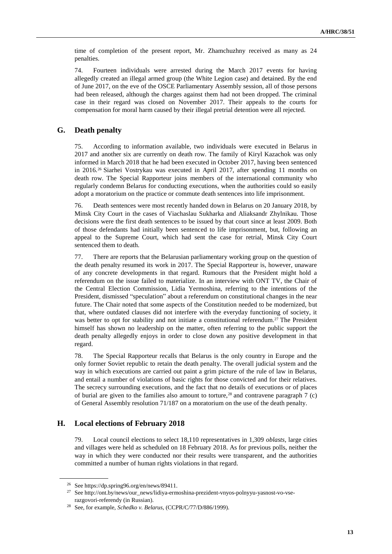time of completion of the present report, Mr. Zhamchuzhny received as many as 24 penalties.

74. Fourteen individuals were arrested during the March 2017 events for having allegedly created an illegal armed group (the White Legion case) and detained. By the end of June 2017, on the eve of the OSCE Parliamentary Assembly session, all of those persons had been released, although the charges against them had not been dropped. The criminal case in their regard was closed on November 2017. Their appeals to the courts for compensation for moral harm caused by their illegal pretrial detention were all rejected.

### **G. Death penalty**

75. According to information available, two individuals were executed in Belarus in 2017 and another six are currently on death row. The family of Kiryl Kazachok was only informed in March 2018 that he had been executed in October 2017, having been sentenced in 2016.<sup>26</sup> Siarhei Vostrykau was executed in April 2017, after spending 11 months on death row. The Special Rapporteur joins members of the international community who regularly condemn Belarus for conducting executions, when the authorities could so easily adopt a moratorium on the practice or commute death sentences into life imprisonment.

76. Death sentences were most recently handed down in Belarus on 20 January 2018, by Minsk City Court in the cases of Viachaslau Sukharka and Aliaksandr Zhylnikau. Those decisions were the first death sentences to be issued by that court since at least 2009. Both of those defendants had initially been sentenced to life imprisonment, but, following an appeal to the Supreme Court, which had sent the case for retrial, Minsk City Court sentenced them to death.

77. There are reports that the Belarusian parliamentary working group on the question of the death penalty resumed its work in 2017. The Special Rapporteur is, however, unaware of any concrete developments in that regard. Rumours that the President might hold a referendum on the issue failed to materialize. In an interview with ONT TV, the Chair of the Central Election Commission, Lidia Yermoshina, referring to the intentions of the President, dismissed "speculation" about a referendum on constitutional changes in the near future. The Chair noted that some aspects of the Constitution needed to be modernized, but that, where outdated clauses did not interfere with the everyday functioning of society, it was better to opt for stability and not initiate a constitutional referendum.<sup>27</sup> The President himself has shown no leadership on the matter, often referring to the public support the death penalty allegedly enjoys in order to close down any positive development in that regard.

78. The Special Rapporteur recalls that Belarus is the only country in Europe and the only former Soviet republic to retain the death penalty. The overall judicial system and the way in which executions are carried out paint a grim picture of the rule of law in Belarus, and entail a number of violations of basic rights for those convicted and for their relatives. The secrecy surrounding executions, and the fact that no details of executions or of places of burial are given to the families also amount to torture,<sup>28</sup> and contravene paragraph  $7$  (c) of General Assembly resolution 71/187 on a moratorium on the use of the death penalty.

### **H. Local elections of February 2018**

79. Local council elections to select 18,110 representatives in 1,309 *oblasts*, large cities and villages were held as scheduled on 18 February 2018. As for previous polls, neither the way in which they were conducted nor their results were transparent, and the authorities committed a number of human rights violations in that regard.

<sup>26</sup> See https://dp.spring96.org/en/news/89411.

<sup>27</sup> Se[e http://ont.by/news/our\\_news/lidiya-ermoshina-prezident-vnyos-polnyyu-yasnost-vo-vse](http://ont.by/news/our_news/lidiya-ermoshina-prezident-vnyos-polnyyu-yasnost-vo-vse-razgovori-referendy)[razgovori-referendy](http://ont.by/news/our_news/lidiya-ermoshina-prezident-vnyos-polnyyu-yasnost-vo-vse-razgovori-referendy) (in Russian).

<sup>28</sup> See, for example, *Schedko v. Belarus*, (CCPR/C/77/D/886/1999).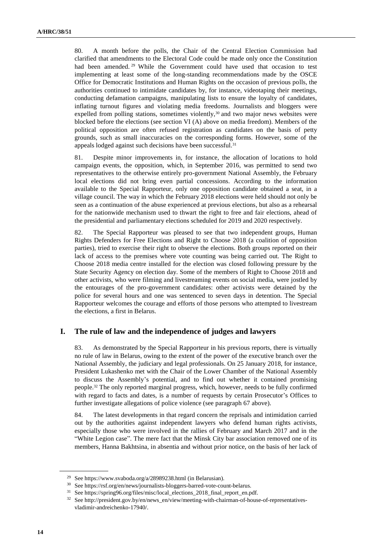80. A month before the polls, the Chair of the Central Election Commission had clarified that amendments to the Electoral Code could be made only once the Constitution had been amended. <sup>29</sup> While the Government could have used that occasion to test implementing at least some of the long-standing recommendations made by the OSCE Office for Democratic Institutions and Human Rights on the occasion of previous polls, the authorities continued to intimidate candidates by, for instance, videotaping their meetings, conducting defamation campaigns, manipulating lists to ensure the loyalty of candidates, inflating turnout figures and violating media freedoms. Journalists and bloggers were expelled from polling stations, sometimes violently,<sup>30</sup> and two major news websites were blocked before the elections (see section VI (A) above on media freedom). Members of the political opposition are often refused registration as candidates on the basis of petty grounds, such as small inaccuracies on the corresponding forms. However, some of the appeals lodged against such decisions have been successful.<sup>31</sup>

81. Despite minor improvements in, for instance, the allocation of locations to hold campaign events, the opposition, which, in September 2016, was permitted to send two representatives to the otherwise entirely pro-government National Assembly, the February local elections did not bring even partial concessions. According to the information available to the Special Rapporteur, only one opposition candidate obtained a seat, in a village council. The way in which the February 2018 elections were held should not only be seen as a continuation of the abuse experienced at previous elections, but also as a rehearsal for the nationwide mechanism used to thwart the right to free and fair elections, ahead of the presidential and parliamentary elections scheduled for 2019 and 2020 respectively.

82. The Special Rapporteur was pleased to see that two independent groups, Human Rights Defenders for Free Elections and Right to Choose 2018 (a coalition of opposition parties), tried to exercise their right to observe the elections. Both groups reported on their lack of access to the premises where vote counting was being carried out. The Right to Choose 2018 media centre installed for the election was closed following pressure by the State Security Agency on election day. Some of the members of Right to Choose 2018 and other activists, who were filming and livestreaming events on social media, were jostled by the entourages of the pro-government candidates: other activists were detained by the police for several hours and one was sentenced to seven days in detention. The Special Rapporteur welcomes the courage and efforts of those persons who attempted to livestream the elections, a first in Belarus.

#### **I. The rule of law and the independence of judges and lawyers**

83. As demonstrated by the Special Rapporteur in his previous reports, there is virtually no rule of law in Belarus, owing to the extent of the power of the executive branch over the National Assembly, the judiciary and legal professionals. On 25 January 2018, for instance, President Lukashenko met with the Chair of the Lower Chamber of the National Assembly to discuss the Assembly's potential, and to find out whether it contained promising people.<sup>32</sup> The only reported marginal progress, which, however, needs to be fully confirmed with regard to facts and dates, is a number of requests by certain Prosecutor's Offices to further investigate allegations of police violence (see paragraph 67 above).

84. The latest developments in that regard concern the reprisals and intimidation carried out by the authorities against independent lawyers who defend human rights activists, especially those who were involved in the rallies of February and March 2017 and in the "White Legion case". The mere fact that the Minsk City bar association removed one of its members, Hanna Bakhtsina, in absentia and without prior notice, on the basis of her lack of

<sup>29</sup> See <https://www.svaboda.org/a/28989238.html> (in Belarusian).

<sup>30</sup> Se[e https://rsf.org/en/news/journalists-bloggers-barred-vote-count-belarus.](https://rsf.org/en/news/journalists-bloggers-barred-vote-count-belarus)

<sup>31</sup> See https://spring96.org/files/misc/local\_elections\_2018\_final\_report\_en.pdf.

<sup>32</sup> See http://president.gov.by/en/news\_en/view/meeting-with-chairman-of-house-of-representativesvladimir-andreichenko-17940/.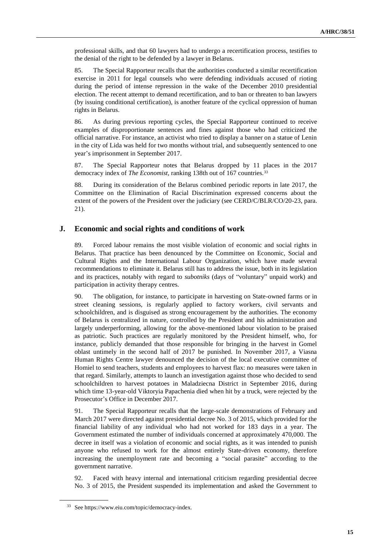professional skills, and that 60 lawyers had to undergo a recertification process, testifies to the denial of the right to be defended by a lawyer in Belarus.

85. The Special Rapporteur recalls that the authorities conducted a similar recertification exercise in 2011 for legal counsels who were defending individuals accused of rioting during the period of intense repression in the wake of the December 2010 presidential election. The recent attempt to demand recertification, and to ban or threaten to ban lawyers (by issuing conditional certification), is another feature of the cyclical oppression of human rights in Belarus.

86. As during previous reporting cycles, the Special Rapporteur continued to receive examples of disproportionate sentences and fines against those who had criticized the official narrative. For instance, an activist who tried to display a banner on a statue of Lenin in the city of Lida was held for two months without trial, and subsequently sentenced to one year's imprisonment in September 2017.

87. The Special Rapporteur notes that Belarus dropped by 11 places in the 2017 democracy index of *The Economist*, ranking 138th out of 167 countries.<sup>33</sup>

88. During its consideration of the Belarus combined periodic reports in late 2017, the Committee on the Elimination of Racial Discrimination expressed concerns about the extent of the powers of the President over the judiciary (see CERD/C/BLR/CO/20-23, para. 21).

#### **J. Economic and social rights and conditions of work**

89. Forced labour remains the most visible violation of economic and social rights in Belarus. That practice has been denounced by the Committee on Economic, Social and Cultural Rights and the International Labour Organization, which have made several recommendations to eliminate it. Belarus still has to address the issue, both in its legislation and its practices, notably with regard to *subotniks* (days of "voluntary" unpaid work) and participation in activity therapy centres.

90. The obligation, for instance, to participate in harvesting on State-owned farms or in street cleaning sessions, is regularly applied to factory workers, civil servants and schoolchildren, and is disguised as strong encouragement by the authorities. The economy of Belarus is centralized in nature, controlled by the President and his administration and largely underperforming, allowing for the above-mentioned labour violation to be praised as patriotic. Such practices are regularly monitored by the President himself, who, for instance, publicly demanded that those responsible for bringing in the harvest in Gomel oblast untimely in the second half of 2017 be punished. In November 2017, a Viasna Human Rights Centre lawyer denounced the decision of the local executive committee of Homiel to send teachers, students and employees to harvest flax: no measures were taken in that regard. Similarly, attempts to launch an investigation against those who decided to send schoolchildren to harvest potatoes in Maladziecna District in September 2016, during which time 13-year-old Viktoryia Papachenia died when hit by a truck, were rejected by the Prosecutor's Office in December 2017.

91. The Special Rapporteur recalls that the large-scale demonstrations of February and March 2017 were directed against presidential decree No. 3 of 2015, which provided for the financial liability of any individual who had not worked for 183 days in a year. The Government estimated the number of individuals concerned at approximately 470,000. The decree in itself was a violation of economic and social rights, as it was intended to punish anyone who refused to work for the almost entirely State-driven economy, therefore increasing the unemployment rate and becoming a "social parasite" according to the government narrative.

92. Faced with heavy internal and international criticism regarding presidential decree No. 3 of 2015, the President suspended its implementation and asked the Government to

<sup>33</sup> See https://www.eiu.com/topic/democracy-index.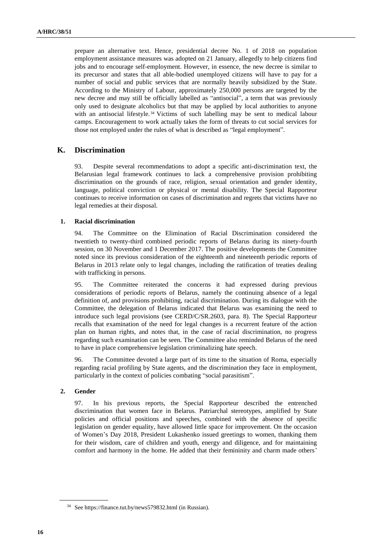prepare an alternative text. Hence, presidential decree No. 1 of 2018 on population employment assistance measures was adopted on 21 January, allegedly to help citizens find jobs and to encourage self-employment. However, in essence, the new decree is similar to its precursor and states that all able-bodied unemployed citizens will have to pay for a number of social and public services that are normally heavily subsidized by the State. According to the Ministry of Labour, approximately 250,000 persons are targeted by the new decree and may still be officially labelled as "antisocial", a term that was previously only used to designate alcoholics but that may be applied by local authorities to anyone with an antisocial lifestyle.<sup>34</sup> Victims of such labelling may be sent to medical labour camps. Encouragement to work actually takes the form of threats to cut social services for those not employed under the rules of what is described as "legal employment".

#### **K. Discrimination**

93. Despite several recommendations to adopt a specific anti-discrimination text, the Belarusian legal framework continues to lack a comprehensive provision prohibiting discrimination on the grounds of race, religion, sexual orientation and gender identity, language, political conviction or physical or mental disability. The Special Rapporteur continues to receive information on cases of discrimination and regrets that victims have no legal remedies at their disposal.

#### **1. Racial discrimination**

94. The Committee on the Elimination of Racial Discrimination considered the twentieth to twenty-third combined periodic reports of Belarus during its ninety-fourth session, on 30 November and 1 December 2017. The positive developments the Committee noted since its previous consideration of the eighteenth and nineteenth periodic reports of Belarus in 2013 relate only to legal changes, including the ratification of treaties dealing with trafficking in persons.

95. The Committee reiterated the concerns it had expressed during previous considerations of periodic reports of Belarus, namely the continuing absence of a legal definition of, and provisions prohibiting, racial discrimination. During its dialogue with the Committee, the delegation of Belarus indicated that Belarus was examining the need to introduce such legal provisions (see CERD/C/SR.2603, para. 8). The Special Rapporteur recalls that examination of the need for legal changes is a recurrent feature of the action plan on human rights, and notes that, in the case of racial discrimination, no progress regarding such examination can be seen. The Committee also reminded Belarus of the need to have in place comprehensive legislation criminalizing hate speech.

96. The Committee devoted a large part of its time to the situation of Roma, especially regarding racial profiling by State agents, and the discrimination they face in employment, particularly in the context of policies combating "social parasitism".

#### **2. Gender**

97. In his previous reports, the Special Rapporteur described the entrenched discrimination that women face in Belarus. Patriarchal stereotypes, amplified by State policies and official positions and speeches, combined with the absence of specific legislation on gender equality, have allowed little space for improvement. On the occasion of Women's Day 2018, President Lukashenko issued greetings to women, thanking them for their wisdom, care of children and youth, energy and diligence, and for maintaining comfort and harmony in the home. He added that their femininity and charm made others'

<sup>34</sup> Se[e https://finance.tut.by/news579832.html](https://finance.tut.by/news579832.html) (in Russian).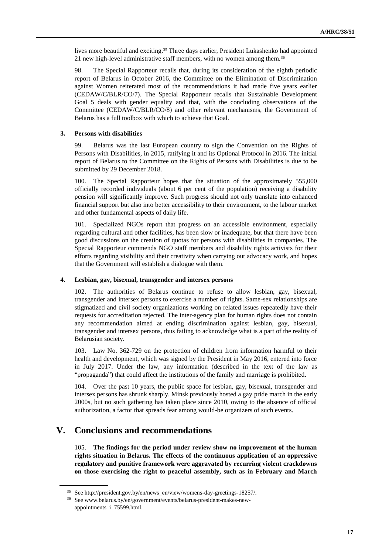lives more beautiful and exciting.<sup>35</sup> Three days earlier, President Lukashenko had appointed 21 new high-level administrative staff members, with no women among them.<sup>36</sup>

98. The Special Rapporteur recalls that, during its consideration of the eighth periodic report of Belarus in October 2016, the Committee on the Elimination of Discrimination against Women reiterated most of the recommendations it had made five years earlier (CEDAW/C/BLR/CO/7). The Special Rapporteur recalls that Sustainable Development Goal 5 deals with gender equality and that, with the concluding observations of the Committee (CEDAW/C/BLR/CO/8) and other relevant mechanisms, the Government of Belarus has a full toolbox with which to achieve that Goal.

#### **3. Persons with disabilities**

99. Belarus was the last European country to sign the Convention on the Rights of Persons with Disabilities, in 2015, ratifying it and its Optional Protocol in 2016. The initial report of Belarus to the Committee on the Rights of Persons with Disabilities is due to be submitted by 29 December 2018.

100. The Special Rapporteur hopes that the situation of the approximately 555,000 officially recorded individuals (about 6 per cent of the population) receiving a disability pension will significantly improve. Such progress should not only translate into enhanced financial support but also into better accessibility to their environment, to the labour market and other fundamental aspects of daily life.

101. Specialized NGOs report that progress on an accessible environment, especially regarding cultural and other facilities, has been slow or inadequate, but that there have been good discussions on the creation of quotas for persons with disabilities in companies. The Special Rapporteur commends NGO staff members and disability rights activists for their efforts regarding visibility and their creativity when carrying out advocacy work, and hopes that the Government will establish a dialogue with them.

#### **4. Lesbian, gay, bisexual, transgender and intersex persons**

102. The authorities of Belarus continue to refuse to allow lesbian, gay, bisexual, transgender and intersex persons to exercise a number of rights. Same-sex relationships are stigmatized and civil society organizations working on related issues repeatedly have their requests for accreditation rejected. The inter-agency plan for human rights does not contain any recommendation aimed at ending discrimination against lesbian, gay, bisexual, transgender and intersex persons, thus failing to acknowledge what is a part of the reality of Belarusian society.

103. Law No. 362-729 on the protection of children from information harmful to their health and development, which was signed by the President in May 2016, entered into force in July 2017. Under the law, any information (described in the text of the law as "propaganda") that could affect the institutions of the family and marriage is prohibited.

104. Over the past 10 years, the public space for lesbian, gay, bisexual, transgender and intersex persons has shrunk sharply. Minsk previously hosted a gay pride march in the early 2000s, but no such gathering has taken place since 2010, owing to the absence of official authorization, a factor that spreads fear among would-be organizers of such events.

## **V. Conclusions and recommendations**

105. **The findings for the period under review show no improvement of the human rights situation in Belarus. The effects of the continuous application of an oppressive regulatory and punitive framework were aggravated by recurring violent crackdowns on those exercising the right to peaceful assembly, such as in February and March** 

<sup>35</sup> See http://president.gov.by/en/news\_en/view/womens-day-greetings-18257/.

<sup>36</sup> See www.belarus.by/en/government/events/belarus-president-makes-newappointments\_i\_75599.html.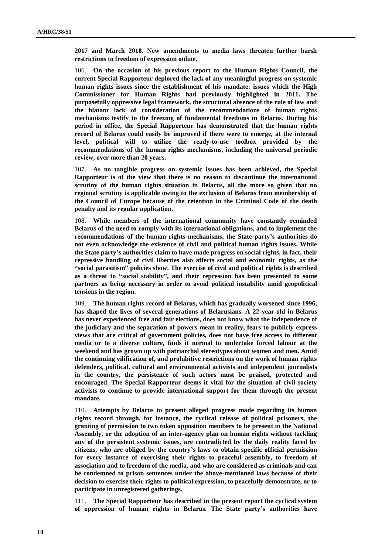**2017 and March 2018. New amendments to media laws threaten further harsh restrictions to freedom of expression online.** 

106. **On the occasion of his previous report to the Human Rights Council, the current Special Rapporteur deplored the lack of any meaningful progress on systemic human rights issues since the establishment of his mandate: issues which the High Commissioner for Human Rights had previously highlighted in 2011. The purposefully oppressive legal framework, the structural absence of the rule of law and the blatant lack of consideration of the recommendations of human rights mechanisms testify to the freezing of fundamental freedoms in Belarus. During his period in office, the Special Rapporteur has demonstrated that the human rights record of Belarus could easily be improved if there were to emerge, at the internal level, political will to utilize the ready-to-use toolbox provided by the recommendations of the human rights mechanisms, including the universal periodic review, over more than 20 years.** 

107. **As no tangible progress on systemic issues has been achieved, the Special Rapporteur is of the view that there is no reason to discontinue the international scrutiny of the human rights situation in Belarus, all the more so given that no regional scrutiny is applicable owing to the exclusion of Belarus from membership of the Council of Europe because of the retention in the Criminal Code of the death penalty and its regular application.**

108. **While members of the international community have constantly reminded Belarus of the need to comply with its international obligations, and to implement the recommendations of the human rights mechanisms, the State party's authorities do not even acknowledge the existence of civil and political human rights issues. While the State party's authorities claim to have made progress on social rights, in fact, their repressive handling of civil liberties also affects social and economic rights, as the "social parasitism" policies show. The exercise of civil and political rights is described as a threat to "social stability", and their repression has been presented to some partners as being necessary in order to avoid political instability amid geopolitical tensions in the region.**

109. **The human rights record of Belarus, which has gradually worsened since 1996, has shaped the lives of several generations of Belarusians. A 22-year-old in Belarus has never experienced free and fair elections, does not know what the independence of the judiciary and the separation of powers mean in reality, fears to publicly express views that are critical of government policies, does not have free access to different media or to a diverse culture, finds it normal to undertake forced labour at the weekend and has grown up with patriarchal stereotypes about women and men. Amid the continuing vilification of, and prohibitive restrictions on the work of human rights defenders, political, cultural and environmental activists and independent journalists in the country, the persistence of such actors must be praised, protected and encouraged. The Special Rapporteur deems it vital for the situation of civil society activists to continue to provide international support for them through the present mandate.**

110. **Attempts by Belarus to present alleged progress made regarding its human rights record through, for instance, the cyclical release of political prisoners, the granting of permission to two token opposition members to be present in the National Assembly, or the adoption of an inter-agency plan on human rights without tackling any of the persistent systemic issues, are contradicted by the daily reality faced by citizens, who are obliged by the country's laws to obtain specific official permission for every instance of exercising their rights to peaceful assembly, to freedom of association and to freedom of the media, and who are considered as criminals and can be condemned to prison sentences under the above-mentioned laws because of their decision to exercise their rights to political expression, to peacefully demonstrate, or to participate in unregistered gatherings.**

111. **The Special Rapporteur has described in the present report the cyclical system of oppression of human rights in Belarus. The State party's authorities have**